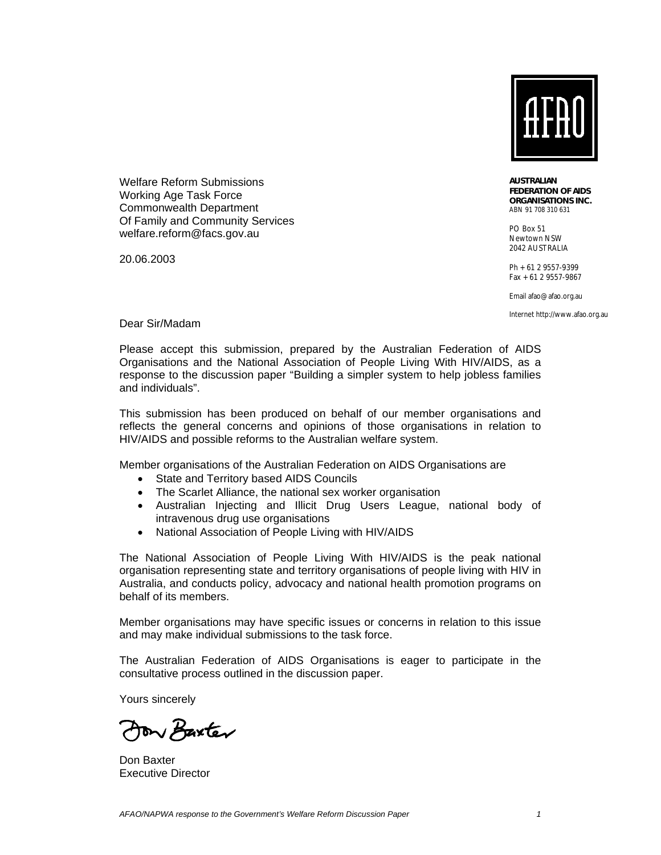

Welfare Reform Submissions Working Age Task Force Commonwealth Department Of Family and Community Services welfare.reform@facs.gov.au

20.06.2003

*AUSTRALIAN FEDERATION OF AIDS ORGANISATIONS INC.*  ABN 91 708 310 631

PO Box 51 Newtown NSW 2042 AUSTRALIA

Ph +61 2 9557-9399 Fax +61 2 9557-9867

Email afao@afao.org.au

Internet http://www.afao.org.au

Dear Sir/Madam

Please accept this submission, prepared by the Australian Federation of AIDS Organisations and the National Association of People Living With HIV/AIDS, as a response to the discussion paper "Building a simpler system to help jobless families and individuals".

This submission has been produced on behalf of our member organisations and reflects the general concerns and opinions of those organisations in relation to HIV/AIDS and possible reforms to the Australian welfare system.

Member organisations of the Australian Federation on AIDS Organisations are

- State and Territory based AIDS Councils
- The Scarlet Alliance, the national sex worker organisation
- Australian Injecting and Illicit Drug Users League, national body of intravenous drug use organisations
- National Association of People Living with HIV/AIDS

The National Association of People Living With HIV/AIDS is the peak national organisation representing state and territory organisations of people living with HIV in Australia, and conducts policy, advocacy and national health promotion programs on behalf of its members.

Member organisations may have specific issues or concerns in relation to this issue and may make individual submissions to the task force.

The Australian Federation of AIDS Organisations is eager to participate in the consultative process outlined in the discussion paper.

Yours sincerely

Aon Baxter

Don Baxter Executive Director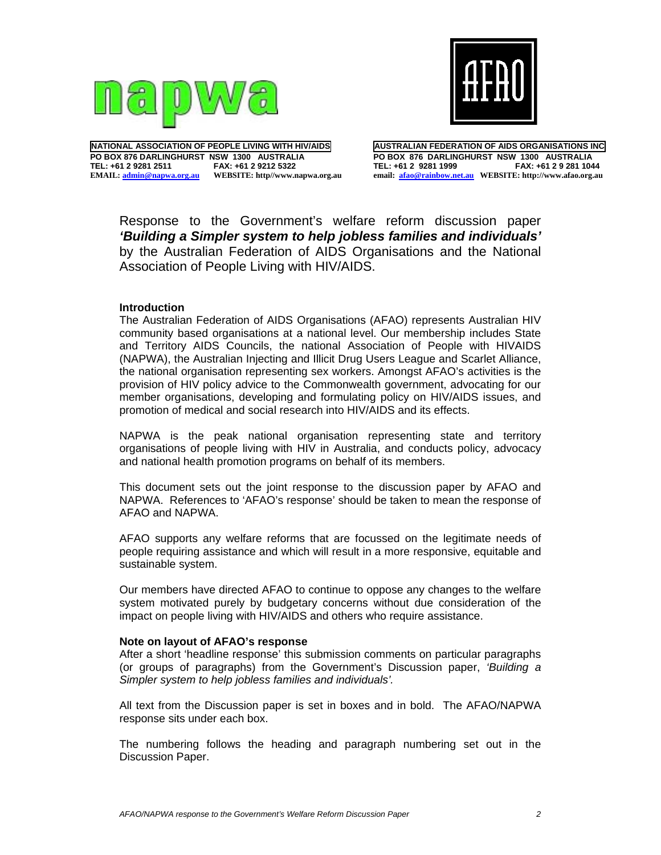



**NATIONAL ASSOCIATION OF PEOPLE LIVING WITH HIV/AIDS PO BOX 876 DARLINGHURST NSW 1300 AUSTRALIA**  TEL: +61 2 9281 2511 **EMAIL: admin@napwa.org.au WEBSITE: http//www.napwa.org.au** **AUSTRALIAN FEDERATION OF AIDS ORGANISATIONS INC PO BOX 876 DARLINGHURST NSW 1300 AUSTRALIA TEL: +61 2 9281 1999 FAX: +61 2 9 281 1044 email: afao@rainbow.net.au WEBSITE: http://www.afao.org.au** 

Response to the Government's welfare reform discussion paper *'Building a Simpler system to help jobless families and individuals'*  by the Australian Federation of AIDS Organisations and the National Association of People Living with HIV/AIDS.

### **Introduction**

The Australian Federation of AIDS Organisations (AFAO) represents Australian HIV community based organisations at a national level. Our membership includes State and Territory AIDS Councils, the national Association of People with HIVAIDS (NAPWA), the Australian Injecting and Illicit Drug Users League and Scarlet Alliance, the national organisation representing sex workers. Amongst AFAO's activities is the provision of HIV policy advice to the Commonwealth government, advocating for our member organisations, developing and formulating policy on HIV/AIDS issues, and promotion of medical and social research into HIV/AIDS and its effects.

NAPWA is the peak national organisation representing state and territory organisations of people living with HIV in Australia, and conducts policy, advocacy and national health promotion programs on behalf of its members.

This document sets out the joint response to the discussion paper by AFAO and NAPWA. References to 'AFAO's response' should be taken to mean the response of AFAO and NAPWA.

AFAO supports any welfare reforms that are focussed on the legitimate needs of people requiring assistance and which will result in a more responsive, equitable and sustainable system.

Our members have directed AFAO to continue to oppose any changes to the welfare system motivated purely by budgetary concerns without due consideration of the impact on people living with HIV/AIDS and others who require assistance.

#### **Note on layout of AFAO's response**

After a short 'headline response' this submission comments on particular paragraphs (or groups of paragraphs) from the Government's Discussion paper, *'Building a Simpler system to help jobless families and individuals'.* 

All text from the Discussion paper is set in boxes and in bold. The AFAO/NAPWA response sits under each box.

The numbering follows the heading and paragraph numbering set out in the Discussion Paper.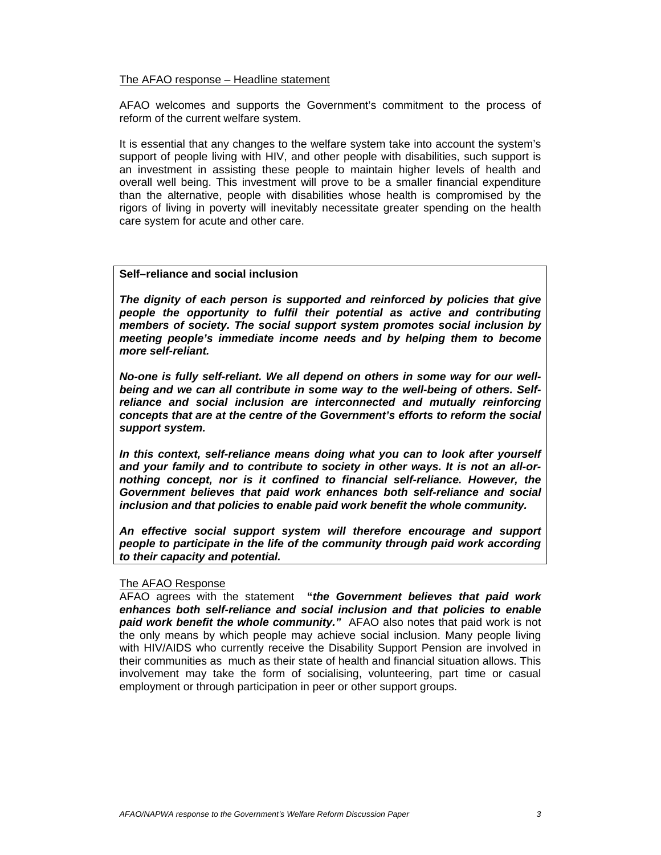#### The AFAO response – Headline statement

AFAO welcomes and supports the Government's commitment to the process of reform of the current welfare system.

It is essential that any changes to the welfare system take into account the system's support of people living with HIV, and other people with disabilities, such support is an investment in assisting these people to maintain higher levels of health and overall well being. This investment will prove to be a smaller financial expenditure than the alternative, people with disabilities whose health is compromised by the rigors of living in poverty will inevitably necessitate greater spending on the health care system for acute and other care.

### **Self–reliance and social inclusion**

*The dignity of each person is supported and reinforced by policies that give people the opportunity to fulfil their potential as active and contributing members of society. The social support system promotes social inclusion by meeting people's immediate income needs and by helping them to become more self-reliant.* 

*No-one is fully self-reliant. We all depend on others in some way for our wellbeing and we can all contribute in some way to the well-being of others. Selfreliance and social inclusion are interconnected and mutually reinforcing concepts that are at the centre of the Government's efforts to reform the social support system.* 

*In this context, self-reliance means doing what you can to look after yourself and your family and to contribute to society in other ways. It is not an all-ornothing concept, nor is it confined to financial self-reliance. However, the Government believes that paid work enhances both self-reliance and social inclusion and that policies to enable paid work benefit the whole community.* 

*An effective social support system will therefore encourage and support people to participate in the life of the community through paid work according to their capacity and potential.* 

#### The AFAO Response

AFAO agrees with the statement **"***the Government believes that paid work enhances both self-reliance and social inclusion and that policies to enable paid work benefit the whole community."* AFAO also notes that paid work is not the only means by which people may achieve social inclusion. Many people living with HIV/AIDS who currently receive the Disability Support Pension are involved in their communities as much as their state of health and financial situation allows. This involvement may take the form of socialising, volunteering, part time or casual employment or through participation in peer or other support groups.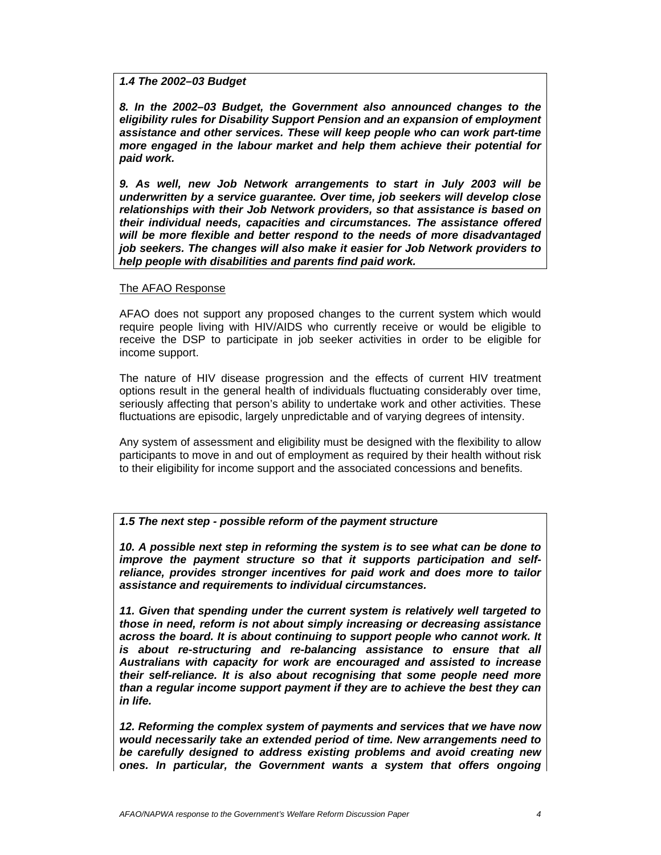### *1.4 The 2002–03 Budget*

*8. In the 2002–03 Budget, the Government also announced changes to the eligibility rules for Disability Support Pension and an expansion of employment assistance and other services. These will keep people who can work part-time more engaged in the labour market and help them achieve their potential for paid work.* 

*9. As well, new Job Network arrangements to start in July 2003 will be underwritten by a service guarantee. Over time, job seekers will develop close relationships with their Job Network providers, so that assistance is based on their individual needs, capacities and circumstances. The assistance offered will be more flexible and better respond to the needs of more disadvantaged job seekers. The changes will also make it easier for Job Network providers to help people with disabilities and parents find paid work.* 

### The AFAO Response

AFAO does not support any proposed changes to the current system which would require people living with HIV/AIDS who currently receive or would be eligible to receive the DSP to participate in job seeker activities in order to be eligible for income support.

The nature of HIV disease progression and the effects of current HIV treatment options result in the general health of individuals fluctuating considerably over time, seriously affecting that person's ability to undertake work and other activities. These fluctuations are episodic, largely unpredictable and of varying degrees of intensity.

Any system of assessment and eligibility must be designed with the flexibility to allow participants to move in and out of employment as required by their health without risk to their eligibility for income support and the associated concessions and benefits.

### *1.5 The next step - possible reform of the payment structure*

*10. A possible next step in reforming the system is to see what can be done to improve the payment structure so that it supports participation and selfreliance, provides stronger incentives for paid work and does more to tailor assistance and requirements to individual circumstances.* 

*11. Given that spending under the current system is relatively well targeted to those in need, reform is not about simply increasing or decreasing assistance across the board. It is about continuing to support people who cannot work. It is about re-structuring and re-balancing assistance to ensure that all Australians with capacity for work are encouraged and assisted to increase their self-reliance. It is also about recognising that some people need more than a regular income support payment if they are to achieve the best they can in life.* 

*12. Reforming the complex system of payments and services that we have now would necessarily take an extended period of time. New arrangements need to be carefully designed to address existing problems and avoid creating new ones. In particular, the Government wants a system that offers ongoing*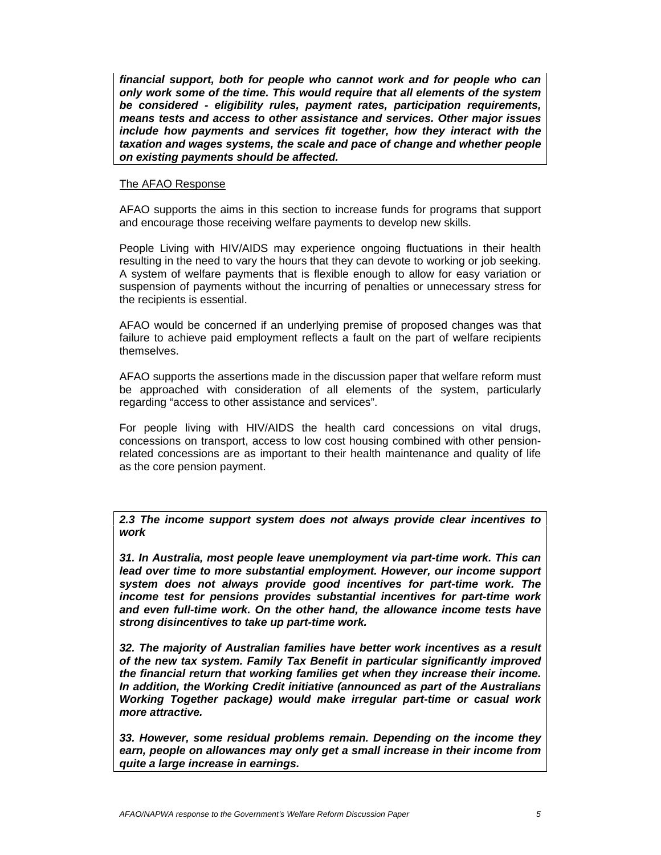*financial support, both for people who cannot work and for people who can only work some of the time. This would require that all elements of the system be considered - eligibility rules, payment rates, participation requirements, means tests and access to other assistance and services. Other major issues include how payments and services fit together, how they interact with the taxation and wages systems, the scale and pace of change and whether people on existing payments should be affected.* 

### The AFAO Response

AFAO supports the aims in this section to increase funds for programs that support and encourage those receiving welfare payments to develop new skills.

People Living with HIV/AIDS may experience ongoing fluctuations in their health resulting in the need to vary the hours that they can devote to working or job seeking. A system of welfare payments that is flexible enough to allow for easy variation or suspension of payments without the incurring of penalties or unnecessary stress for the recipients is essential.

AFAO would be concerned if an underlying premise of proposed changes was that failure to achieve paid employment reflects a fault on the part of welfare recipients themselves.

AFAO supports the assertions made in the discussion paper that welfare reform must be approached with consideration of all elements of the system, particularly regarding "access to other assistance and services".

For people living with HIV/AIDS the health card concessions on vital drugs, concessions on transport, access to low cost housing combined with other pensionrelated concessions are as important to their health maintenance and quality of life as the core pension payment.

*2.3 The income support system does not always provide clear incentives to work* 

*31. In Australia, most people leave unemployment via part-time work. This can lead over time to more substantial employment. However, our income support system does not always provide good incentives for part-time work. The income test for pensions provides substantial incentives for part-time work and even full-time work. On the other hand, the allowance income tests have strong disincentives to take up part-time work.* 

*32. The majority of Australian families have better work incentives as a result of the new tax system. Family Tax Benefit in particular significantly improved the financial return that working families get when they increase their income. In addition, the Working Credit initiative (announced as part of the Australians Working Together package) would make irregular part-time or casual work more attractive.* 

*33. However, some residual problems remain. Depending on the income they earn, people on allowances may only get a small increase in their income from quite a large increase in earnings.*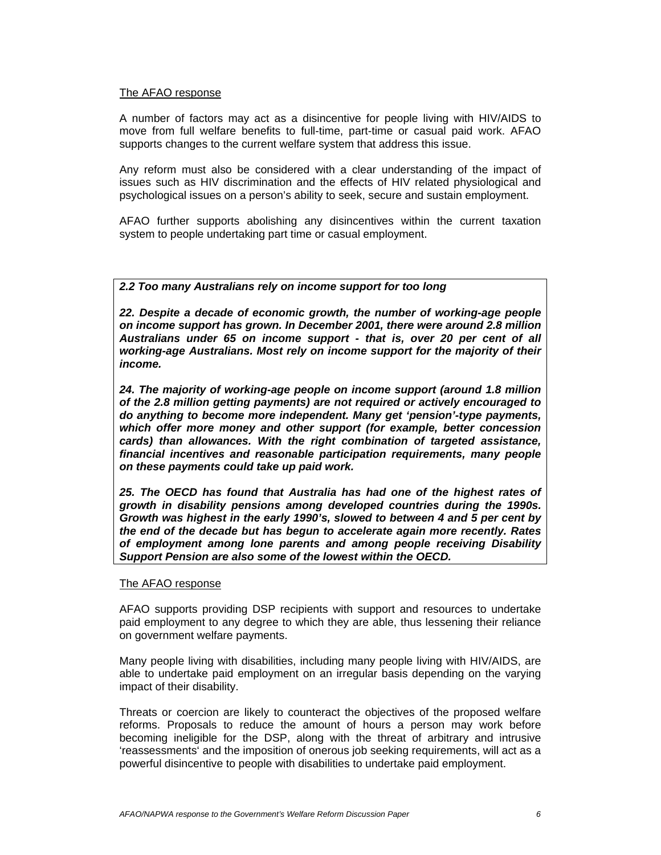### The AFAO response

A number of factors may act as a disincentive for people living with HIV/AIDS to move from full welfare benefits to full-time, part-time or casual paid work. AFAO supports changes to the current welfare system that address this issue.

Any reform must also be considered with a clear understanding of the impact of issues such as HIV discrimination and the effects of HIV related physiological and psychological issues on a person's ability to seek, secure and sustain employment.

AFAO further supports abolishing any disincentives within the current taxation system to people undertaking part time or casual employment.

## *2.2 Too many Australians rely on income support for too long*

*22. Despite a decade of economic growth, the number of working-age people on income support has grown. In December 2001, there were around 2.8 million Australians under 65 on income support - that is, over 20 per cent of all working-age Australians. Most rely on income support for the majority of their income.* 

*24. The majority of working-age people on income support (around 1.8 million of the 2.8 million getting payments) are not required or actively encouraged to do anything to become more independent. Many get 'pension'-type payments, which offer more money and other support (for example, better concession cards) than allowances. With the right combination of targeted assistance, financial incentives and reasonable participation requirements, many people on these payments could take up paid work.* 

*25. The OECD has found that Australia has had one of the highest rates of growth in disability pensions among developed countries during the 1990s. Growth was highest in the early 1990's, slowed to between 4 and 5 per cent by the end of the decade but has begun to accelerate again more recently. Rates of employment among lone parents and among people receiving Disability Support Pension are also some of the lowest within the OECD.* 

### The AFAO response

AFAO supports providing DSP recipients with support and resources to undertake paid employment to any degree to which they are able, thus lessening their reliance on government welfare payments.

Many people living with disabilities, including many people living with HIV/AIDS, are able to undertake paid employment on an irregular basis depending on the varying impact of their disability.

Threats or coercion are likely to counteract the objectives of the proposed welfare reforms. Proposals to reduce the amount of hours a person may work before becoming ineligible for the DSP, along with the threat of arbitrary and intrusive 'reassessments' and the imposition of onerous job seeking requirements, will act as a powerful disincentive to people with disabilities to undertake paid employment.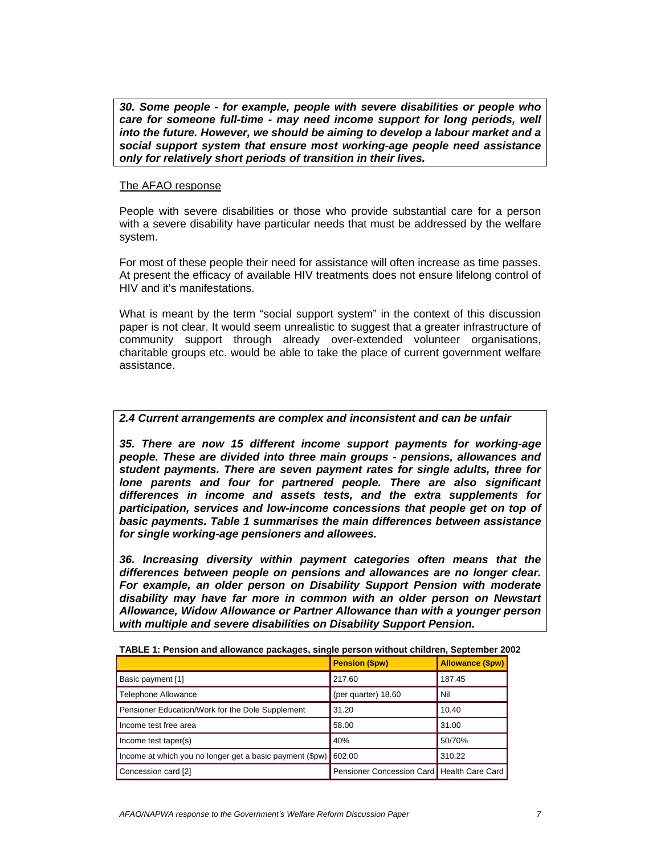*30. Some people - for example, people with severe disabilities or people who care for someone full-time - may need income support for long periods, well into the future. However, we should be aiming to develop a labour market and a social support system that ensure most working-age people need assistance only for relatively short periods of transition in their lives.*

### The AFAO response

People with severe disabilities or those who provide substantial care for a person with a severe disability have particular needs that must be addressed by the welfare system.

For most of these people their need for assistance will often increase as time passes. At present the efficacy of available HIV treatments does not ensure lifelong control of HIV and it's manifestations.

What is meant by the term "social support system" in the context of this discussion paper is not clear. It would seem unrealistic to suggest that a greater infrastructure of community support through already over-extended volunteer organisations, charitable groups etc. would be able to take the place of current government welfare assistance.

## *2.4 Current arrangements are complex and inconsistent and can be unfair*

*35. There are now 15 different income support payments for working-age people. These are divided into three main groups - pensions, allowances and student payments. There are seven payment rates for single adults, three for lone parents and four for partnered people. There are also significant differences in income and assets tests, and the extra supplements for participation, services and low-income concessions that people get on top of basic payments. Table 1 summarises the main differences between assistance for single working-age pensioners and allowees.* 

*36. Increasing diversity within payment categories often means that the differences between people on pensions and allowances are no longer clear. For example, an older person on Disability Support Pension with moderate disability may have far more in common with an older person on Newstart Allowance, Widow Allowance or Partner Allowance than with a younger person with multiple and severe disabilities on Disability Support Pension.* 

|                                                                   | <b>Pension (\$pw)</b>                        | <b>Allowance (\$pw)</b> |
|-------------------------------------------------------------------|----------------------------------------------|-------------------------|
| Basic payment [1]                                                 | 217.60                                       | 187.45                  |
| <b>Telephone Allowance</b>                                        | (per quarter) 18.60                          | Nil                     |
| Pensioner Education/Work for the Dole Supplement                  | 31.20                                        | 10.40                   |
| Income test free area                                             | 58.00                                        | 31.00                   |
| Income test taper(s)                                              | 40%                                          | 50/70%                  |
| Income at which you no longer get a basic payment (\$pw)   602.00 |                                              | 310.22                  |
| Concession card [2]                                               | Pensioner Concession Card   Health Care Card |                         |

| TABLE 1: Pension and allowance packages, single person without children, September 2002 |  |  |
|-----------------------------------------------------------------------------------------|--|--|
|                                                                                         |  |  |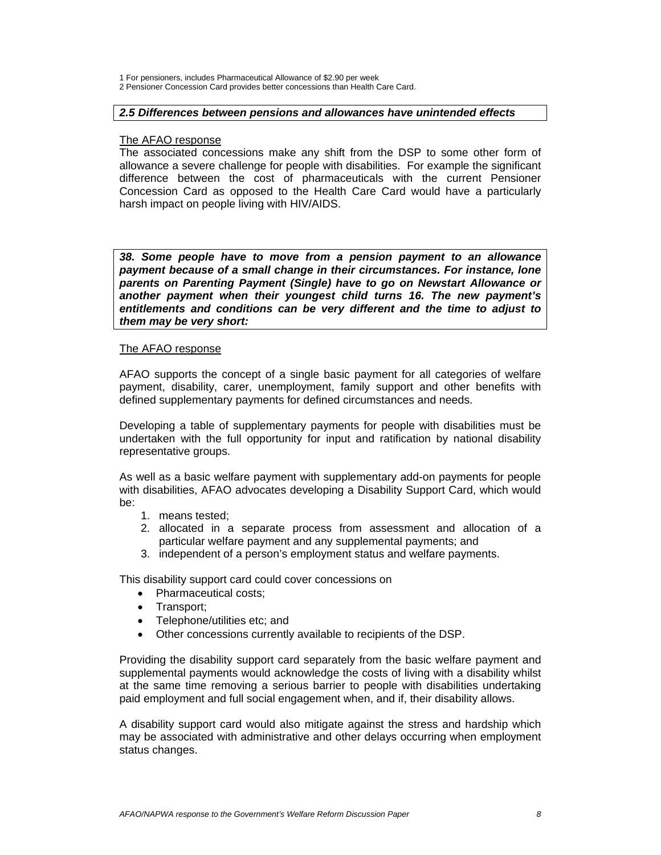1 For pensioners, includes Pharmaceutical Allowance of \$2.90 per week

2 Pensioner Concession Card provides better concessions than Health Care Card.

### *2.5 Differences between pensions and allowances have unintended effects*

#### The AFAO response

The associated concessions make any shift from the DSP to some other form of allowance a severe challenge for people with disabilities.For example the significant difference between the cost of pharmaceuticals with the current Pensioner Concession Card as opposed to the Health Care Card would have a particularly harsh impact on people living with HIV/AIDS.

*38. Some people have to move from a pension payment to an allowance payment because of a small change in their circumstances. For instance, lone parents on Parenting Payment (Single) have to go on Newstart Allowance or another payment when their youngest child turns 16. The new payment's entitlements and conditions can be very different and the time to adjust to them may be very short:* 

### The AFAO response

AFAO supports the concept of a single basic payment for all categories of welfare payment, disability, carer, unemployment, family support and other benefits with defined supplementary payments for defined circumstances and needs.

Developing a table of supplementary payments for people with disabilities must be undertaken with the full opportunity for input and ratification by national disability representative groups.

As well as a basic welfare payment with supplementary add-on payments for people with disabilities, AFAO advocates developing a Disability Support Card, which would be:

- 1. means tested;
- 2. allocated in a separate process from assessment and allocation of a particular welfare payment and any supplemental payments; and
- 3. independent of a person's employment status and welfare payments.

This disability support card could cover concessions on

- Pharmaceutical costs:
- Transport;<br>• Telenhone
- Telephone/utilities etc; and
- Other concessions currently available to recipients of the DSP.

Providing the disability support card separately from the basic welfare payment and supplemental payments would acknowledge the costs of living with a disability whilst at the same time removing a serious barrier to people with disabilities undertaking paid employment and full social engagement when, and if, their disability allows.

A disability support card would also mitigate against the stress and hardship which may be associated with administrative and other delays occurring when employment status changes.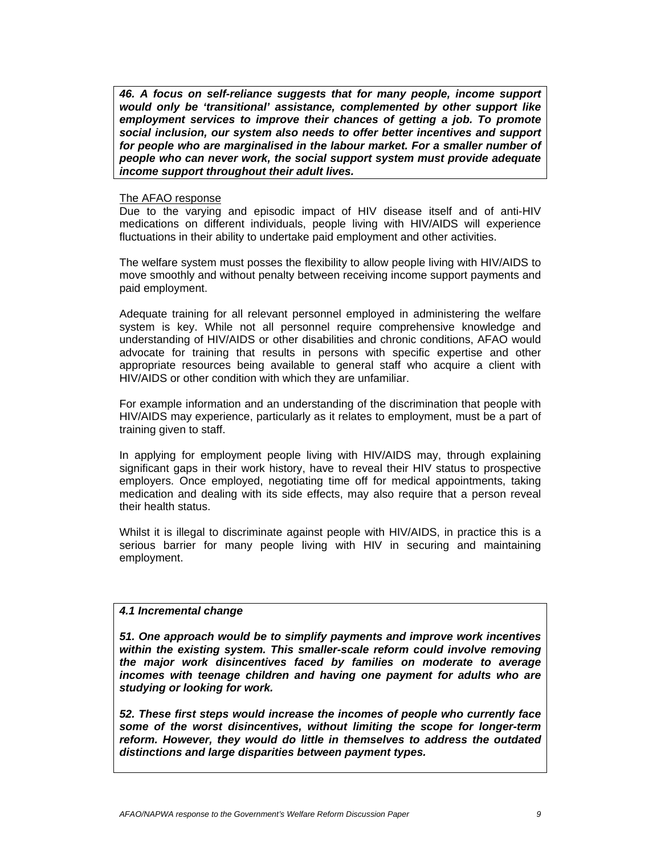*46. A focus on self-reliance suggests that for many people, income support would only be 'transitional' assistance, complemented by other support like employment services to improve their chances of getting a job. To promote social inclusion, our system also needs to offer better incentives and support for people who are marginalised in the labour market. For a smaller number of people who can never work, the social support system must provide adequate income support throughout their adult lives.* 

#### The AFAO response

Due to the varying and episodic impact of HIV disease itself and of anti-HIV medications on different individuals, people living with HIV/AIDS will experience fluctuations in their ability to undertake paid employment and other activities.

The welfare system must posses the flexibility to allow people living with HIV/AIDS to move smoothly and without penalty between receiving income support payments and paid employment.

Adequate training for all relevant personnel employed in administering the welfare system is key. While not all personnel require comprehensive knowledge and understanding of HIV/AIDS or other disabilities and chronic conditions, AFAO would advocate for training that results in persons with specific expertise and other appropriate resources being available to general staff who acquire a client with HIV/AIDS or other condition with which they are unfamiliar.

For example information and an understanding of the discrimination that people with HIV/AIDS may experience, particularly as it relates to employment, must be a part of training given to staff.

In applying for employment people living with HIV/AIDS may, through explaining significant gaps in their work history, have to reveal their HIV status to prospective employers. Once employed, negotiating time off for medical appointments, taking medication and dealing with its side effects, may also require that a person reveal their health status.

Whilst it is illegal to discriminate against people with HIV/AIDS, in practice this is a serious barrier for many people living with HIV in securing and maintaining employment.

## *4.1 Incremental change*

*51. One approach would be to simplify payments and improve work incentives within the existing system. This smaller-scale reform could involve removing the major work disincentives faced by families on moderate to average incomes with teenage children and having one payment for adults who are studying or looking for work.* 

*52. These first steps would increase the incomes of people who currently face some of the worst disincentives, without limiting the scope for longer-term reform. However, they would do little in themselves to address the outdated distinctions and large disparities between payment types.*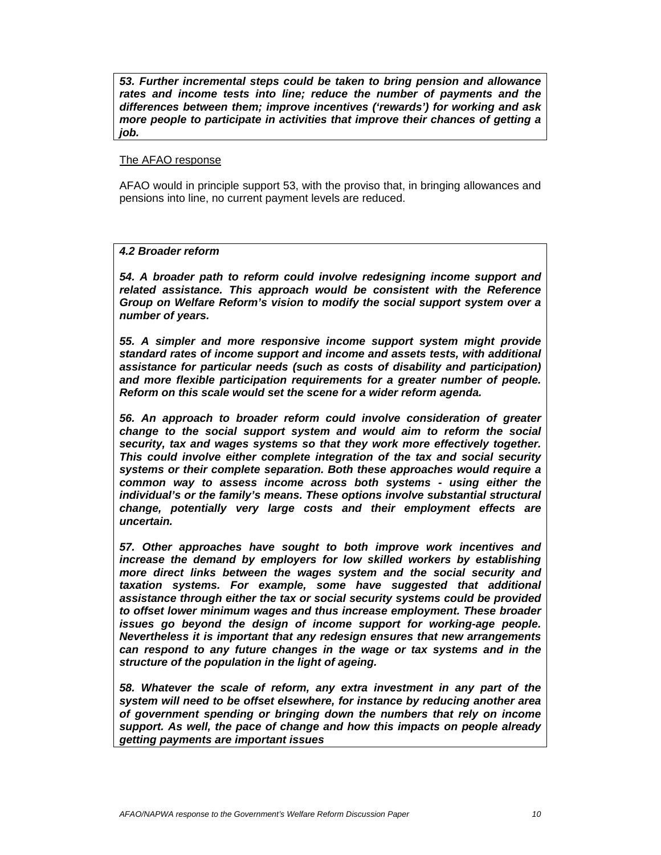*53. Further incremental steps could be taken to bring pension and allowance rates and income tests into line; reduce the number of payments and the differences between them; improve incentives ('rewards') for working and ask more people to participate in activities that improve their chances of getting a job.* 

### The AFAO response

AFAO would in principle support 53, with the proviso that, in bringing allowances and pensions into line, no current payment levels are reduced.

## *4.2 Broader reform*

*54. A broader path to reform could involve redesigning income support and related assistance. This approach would be consistent with the Reference Group on Welfare Reform's vision to modify the social support system over a number of years.* 

*55. A simpler and more responsive income support system might provide standard rates of income support and income and assets tests, with additional assistance for particular needs (such as costs of disability and participation) and more flexible participation requirements for a greater number of people. Reform on this scale would set the scene for a wider reform agenda.* 

*56. An approach to broader reform could involve consideration of greater change to the social support system and would aim to reform the social security, tax and wages systems so that they work more effectively together. This could involve either complete integration of the tax and social security systems or their complete separation. Both these approaches would require a common way to assess income across both systems - using either the individual's or the family's means. These options involve substantial structural change, potentially very large costs and their employment effects are uncertain.* 

*57. Other approaches have sought to both improve work incentives and increase the demand by employers for low skilled workers by establishing more direct links between the wages system and the social security and taxation systems. For example, some have suggested that additional assistance through either the tax or social security systems could be provided to offset lower minimum wages and thus increase employment. These broader issues go beyond the design of income support for working-age people. Nevertheless it is important that any redesign ensures that new arrangements can respond to any future changes in the wage or tax systems and in the structure of the population in the light of ageing.* 

*58. Whatever the scale of reform, any extra investment in any part of the system will need to be offset elsewhere, for instance by reducing another area of government spending or bringing down the numbers that rely on income support. As well, the pace of change and how this impacts on people already getting payments are important issues*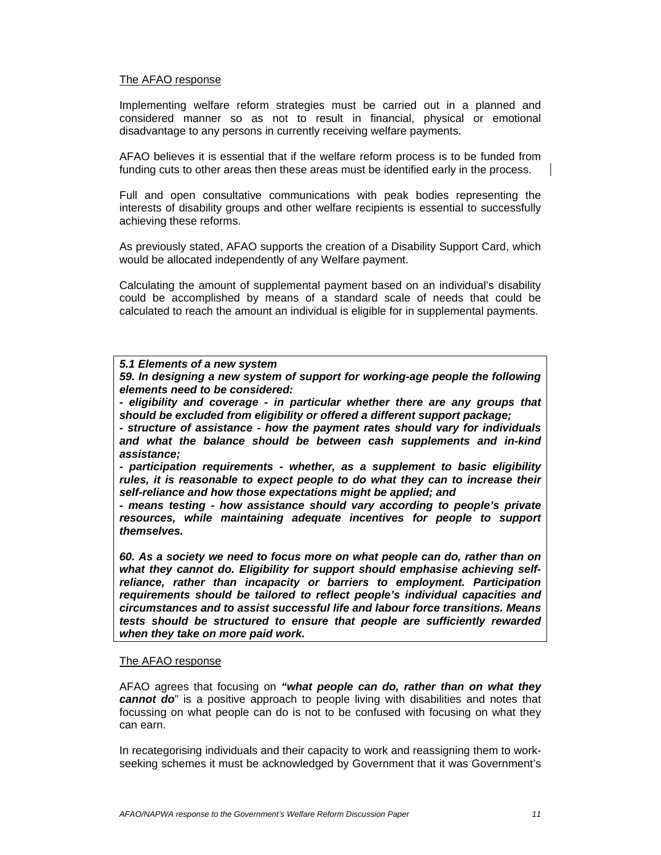## The AFAO response

Implementing welfare reform strategies must be carried out in a planned and considered manner so as not to result in financial, physical or emotional disadvantage to any persons in currently receiving welfare payments.

AFAO believes it is essential that if the welfare reform process is to be funded from funding cuts to other areas then these areas must be identified early in the process.

Full and open consultative communications with peak bodies representing the interests of disability groups and other welfare recipients is essential to successfully achieving these reforms.

As previously stated, AFAO supports the creation of a Disability Support Card, which would be allocated independently of any Welfare payment.

Calculating the amount of supplemental payment based on an individual's disability could be accomplished by means of a standard scale of needs that could be calculated to reach the amount an individual is eligible for in supplemental payments.

### *5.1 Elements of a new system*

*59. In designing a new system of support for working-age people the following elements need to be considered:* 

*- eligibility and coverage - in particular whether there are any groups that should be excluded from eligibility or offered a different support package;* 

*- structure of assistance - how the payment rates should vary for individuals and what the balance should be between cash supplements and in-kind assistance;* 

*- participation requirements - whether, as a supplement to basic eligibility rules, it is reasonable to expect people to do what they can to increase their self-reliance and how those expectations might be applied; and* 

*- means testing - how assistance should vary according to people's private resources, while maintaining adequate incentives for people to support themselves.* 

*60. As a society we need to focus more on what people can do, rather than on what they cannot do. Eligibility for support should emphasise achieving selfreliance, rather than incapacity or barriers to employment. Participation requirements should be tailored to reflect people's individual capacities and circumstances and to assist successful life and labour force transitions. Means tests should be structured to ensure that people are sufficiently rewarded when they take on more paid work.*

### The AFAO response

AFAO agrees that focusing on *"what people can do, rather than on what they cannot do*" is a positive approach to people living with disabilities and notes that focussing on what people can do is not to be confused with focusing on what they can earn.

In recategorising individuals and their capacity to work and reassigning them to workseeking schemes it must be acknowledged by Government that it was Government's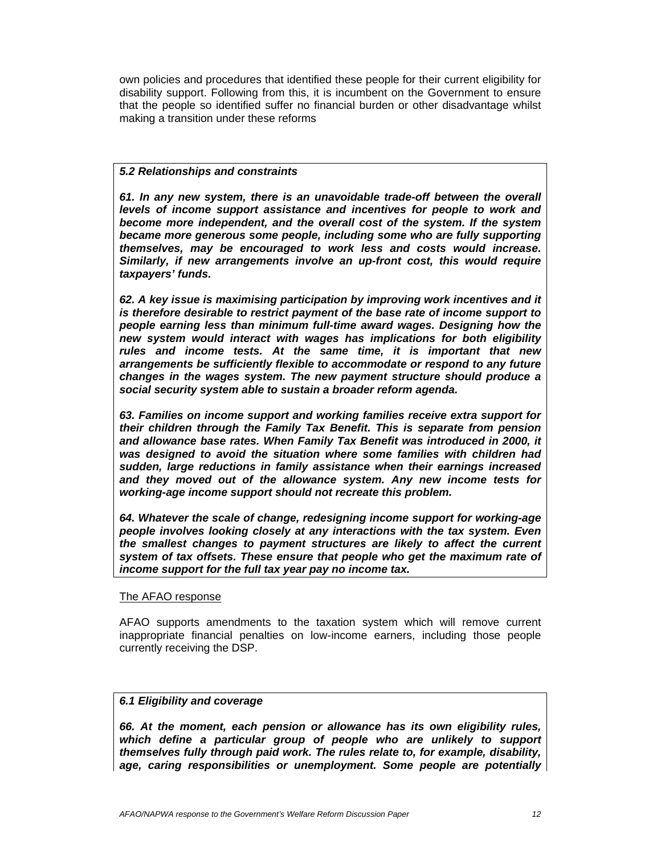own policies and procedures that identified these people for their current eligibility for disability support. Following from this, it is incumbent on the Government to ensure that the people so identified suffer no financial burden or other disadvantage whilst making a transition under these reforms

### *5.2 Relationships and constraints*

*61. In any new system, there is an unavoidable trade-off between the overall levels of income support assistance and incentives for people to work and become more independent, and the overall cost of the system. If the system became more generous some people, including some who are fully supporting themselves, may be encouraged to work less and costs would increase. Similarly, if new arrangements involve an up-front cost, this would require taxpayers' funds.* 

*62. A key issue is maximising participation by improving work incentives and it is therefore desirable to restrict payment of the base rate of income support to people earning less than minimum full-time award wages. Designing how the new system would interact with wages has implications for both eligibility rules and income tests. At the same time, it is important that new arrangements be sufficiently flexible to accommodate or respond to any future changes in the wages system. The new payment structure should produce a social security system able to sustain a broader reform agenda.* 

*63. Families on income support and working families receive extra support for their children through the Family Tax Benefit. This is separate from pension and allowance base rates. When Family Tax Benefit was introduced in 2000, it was designed to avoid the situation where some families with children had sudden, large reductions in family assistance when their earnings increased and they moved out of the allowance system. Any new income tests for working-age income support should not recreate this problem.* 

*64. Whatever the scale of change, redesigning income support for working-age people involves looking closely at any interactions with the tax system. Even the smallest changes to payment structures are likely to affect the current system of tax offsets. These ensure that people who get the maximum rate of income support for the full tax year pay no income tax.* 

### The AFAO response

AFAO supports amendments to the taxation system which will remove current inappropriate financial penalties on low-income earners, including those people currently receiving the DSP.

# *6.1 Eligibility and coverage*

*66. At the moment, each pension or allowance has its own eligibility rules, which define a particular group of people who are unlikely to support themselves fully through paid work. The rules relate to, for example, disability, age, caring responsibilities or unemployment. Some people are potentially*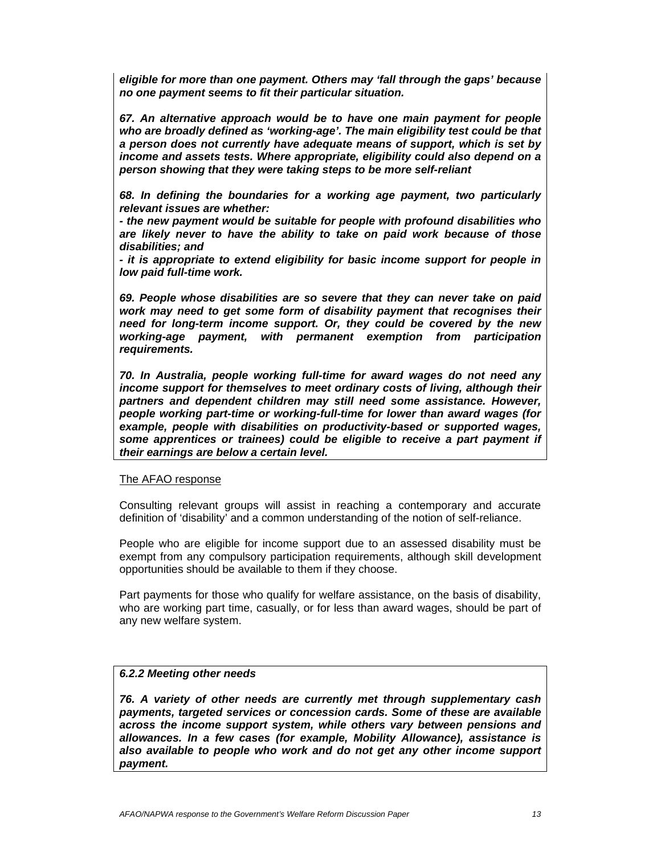*eligible for more than one payment. Others may 'fall through the gaps' because no one payment seems to fit their particular situation.* 

*67. An alternative approach would be to have one main payment for people who are broadly defined as 'working-age'. The main eligibility test could be that a person does not currently have adequate means of support, which is set by income and assets tests. Where appropriate, eligibility could also depend on a person showing that they were taking steps to be more self-reliant* 

*68. In defining the boundaries for a working age payment, two particularly relevant issues are whether:* 

*- the new payment would be suitable for people with profound disabilities who are likely never to have the ability to take on paid work because of those disabilities; and* 

*- it is appropriate to extend eligibility for basic income support for people in low paid full-time work.* 

*69. People whose disabilities are so severe that they can never take on paid work may need to get some form of disability payment that recognises their need for long-term income support. Or, they could be covered by the new working-age payment, with permanent exemption from participation requirements.* 

*70. In Australia, people working full-time for award wages do not need any income support for themselves to meet ordinary costs of living, although their partners and dependent children may still need some assistance. However, people working part-time or working-full-time for lower than award wages (for example, people with disabilities on productivity-based or supported wages, some apprentices or trainees) could be eligible to receive a part payment if their earnings are below a certain level.* 

### The AFAO response

Consulting relevant groups will assist in reaching a contemporary and accurate definition of 'disability' and a common understanding of the notion of self-reliance.

People who are eligible for income support due to an assessed disability must be exempt from any compulsory participation requirements, although skill development opportunities should be available to them if they choose.

Part payments for those who qualify for welfare assistance, on the basis of disability, who are working part time, casually, or for less than award wages, should be part of any new welfare system.

# *6.2.2 Meeting other needs*

*76. A variety of other needs are currently met through supplementary cash payments, targeted services or concession cards. Some of these are available across the income support system, while others vary between pensions and allowances. In a few cases (for example, Mobility Allowance), assistance is also available to people who work and do not get any other income support payment.*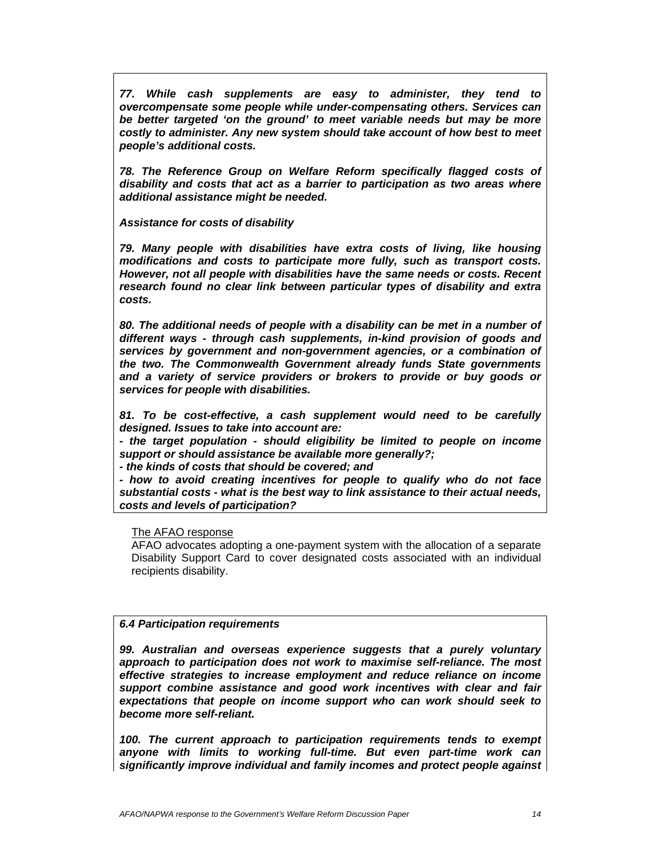*77. While cash supplements are easy to administer, they tend to overcompensate some people while under-compensating others. Services can be better targeted 'on the ground' to meet variable needs but may be more costly to administer. Any new system should take account of how best to meet people's additional costs.* 

*78. The Reference Group on Welfare Reform specifically flagged costs of disability and costs that act as a barrier to participation as two areas where additional assistance might be needed.* 

*Assistance for costs of disability* 

*79. Many people with disabilities have extra costs of living, like housing modifications and costs to participate more fully, such as transport costs. However, not all people with disabilities have the same needs or costs. Recent research found no clear link between particular types of disability and extra costs.* 

*80. The additional needs of people with a disability can be met in a number of different ways - through cash supplements, in-kind provision of goods and services by government and non-government agencies, or a combination of the two. The Commonwealth Government already funds State governments and a variety of service providers or brokers to provide or buy goods or services for people with disabilities.* 

*81. To be cost-effective, a cash supplement would need to be carefully designed. Issues to take into account are:* 

*- the target population - should eligibility be limited to people on income support or should assistance be available more generally?;* 

*- the kinds of costs that should be covered; and* 

*- how to avoid creating incentives for people to qualify who do not face substantial costs - what is the best way to link assistance to their actual needs, costs and levels of participation?* 

The AFAO response

AFAO advocates adopting a one-payment system with the allocation of a separate Disability Support Card to cover designated costs associated with an individual recipients disability.

# *6.4 Participation requirements*

*99. Australian and overseas experience suggests that a purely voluntary approach to participation does not work to maximise self-reliance. The most effective strategies to increase employment and reduce reliance on income support combine assistance and good work incentives with clear and fair expectations that people on income support who can work should seek to become more self-reliant.* 

*100. The current approach to participation requirements tends to exempt anyone with limits to working full-time. But even part-time work can significantly improve individual and family incomes and protect people against*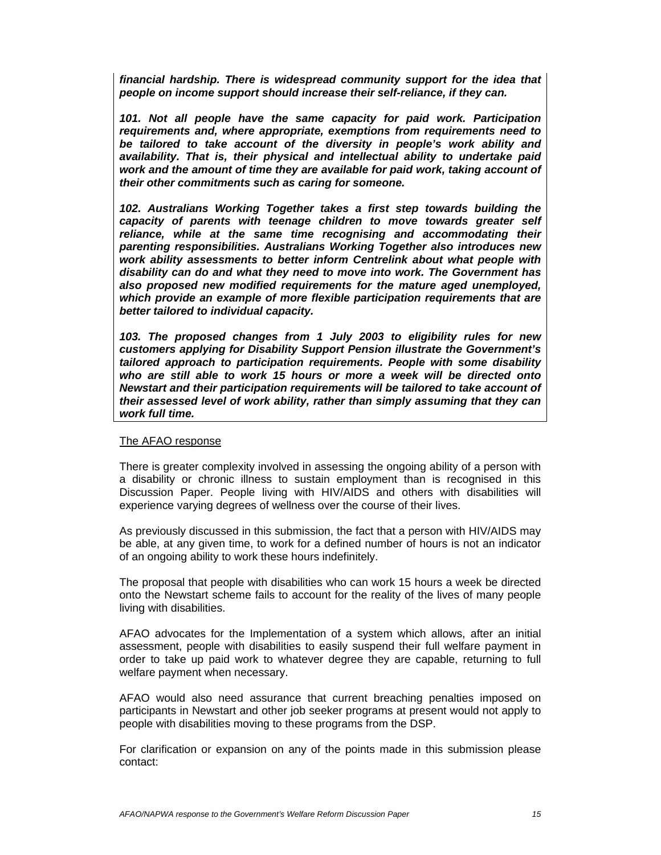*financial hardship. There is widespread community support for the idea that people on income support should increase their self-reliance, if they can.* 

*101. Not all people have the same capacity for paid work. Participation requirements and, where appropriate, exemptions from requirements need to be tailored to take account of the diversity in people's work ability and availability. That is, their physical and intellectual ability to undertake paid work and the amount of time they are available for paid work, taking account of their other commitments such as caring for someone.* 

*102. Australians Working Together takes a first step towards building the capacity of parents with teenage children to move towards greater self reliance, while at the same time recognising and accommodating their parenting responsibilities. Australians Working Together also introduces new work ability assessments to better inform Centrelink about what people with disability can do and what they need to move into work. The Government has also proposed new modified requirements for the mature aged unemployed, which provide an example of more flexible participation requirements that are better tailored to individual capacity.* 

*103. The proposed changes from 1 July 2003 to eligibility rules for new customers applying for Disability Support Pension illustrate the Government's tailored approach to participation requirements. People with some disability who are still able to work 15 hours or more a week will be directed onto Newstart and their participation requirements will be tailored to take account of their assessed level of work ability, rather than simply assuming that they can work full time.* 

### The AFAO response

There is greater complexity involved in assessing the ongoing ability of a person with a disability or chronic illness to sustain employment than is recognised in this Discussion Paper. People living with HIV/AIDS and others with disabilities will experience varying degrees of wellness over the course of their lives.

As previously discussed in this submission, the fact that a person with HIV/AIDS may be able, at any given time, to work for a defined number of hours is not an indicator of an ongoing ability to work these hours indefinitely.

The proposal that people with disabilities who can work 15 hours a week be directed onto the Newstart scheme fails to account for the reality of the lives of many people living with disabilities.

AFAO advocates for the Implementation of a system which allows, after an initial assessment, people with disabilities to easily suspend their full welfare payment in order to take up paid work to whatever degree they are capable, returning to full welfare payment when necessary.

AFAO would also need assurance that current breaching penalties imposed on participants in Newstart and other job seeker programs at present would not apply to people with disabilities moving to these programs from the DSP.

For clarification or expansion on any of the points made in this submission please contact: